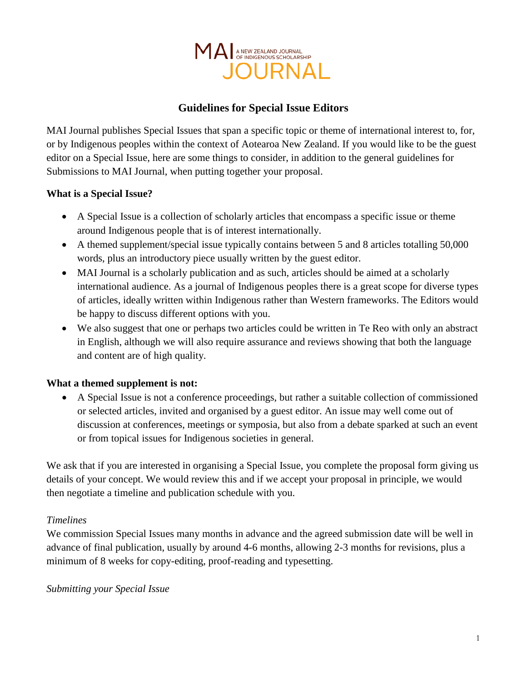

# **Guidelines for Special Issue Editors**

MAI Journal publishes Special Issues that span a specific topic or theme of international interest to, for, or by Indigenous peoples within the context of Aotearoa New Zealand. If you would like to be the guest editor on a Special Issue, here are some things to consider, in addition to the general guidelines for Submissions to MAI Journal, when putting together your proposal.

### **What is a Special Issue?**

- A Special Issue is a collection of scholarly articles that encompass a specific issue or theme around Indigenous people that is of interest internationally.
- A themed supplement/special issue typically contains between 5 and 8 articles totalling 50,000 words, plus an introductory piece usually written by the guest editor.
- MAI Journal is a scholarly publication and as such, articles should be aimed at a scholarly international audience. As a journal of Indigenous peoples there is a great scope for diverse types of articles, ideally written within Indigenous rather than Western frameworks. The Editors would be happy to discuss different options with you.
- We also suggest that one or perhaps two articles could be written in Te Reo with only an abstract in English, although we will also require assurance and reviews showing that both the language and content are of high quality.

#### **What a themed supplement is not:**

• A Special Issue is not a conference proceedings, but rather a suitable collection of commissioned or selected articles, invited and organised by a guest editor. An issue may well come out of discussion at conferences, meetings or symposia, but also from a debate sparked at such an event or from topical issues for Indigenous societies in general.

We ask that if you are interested in organising a Special Issue, you complete the proposal form giving us details of your concept. We would review this and if we accept your proposal in principle, we would then negotiate a timeline and publication schedule with you.

#### *Timelines*

We commission Special Issues many months in advance and the agreed submission date will be well in advance of final publication, usually by around 4-6 months, allowing 2-3 months for revisions, plus a minimum of 8 weeks for copy-editing, proof-reading and typesetting.

#### *Submitting your Special Issue*